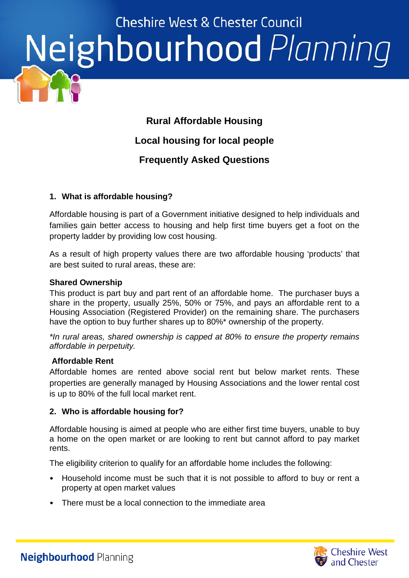### **Cheshire West & Chester Council** Neighbourhood Planning

#### **Rural Affordable Housing**

#### **Local housing for local people**

#### **Frequently Asked Questions**

#### **1. What is affordable housing?**

Affordable housing is part of a Government initiative designed to help individuals and families gain better access to housing and help first time buyers get a foot on the property ladder by providing low cost housing.

As a result of high property values there are two affordable housing 'products' that are best suited to rural areas, these are:

#### **Shared Ownership**

This product is part buy and part rent of an affordable home. The purchaser buys a share in the property, usually 25%, 50% or 75%, and pays an affordable rent to a Housing Association (Registered Provider) on the remaining share. The purchasers have the option to buy further shares up to 80%\* ownership of the property.

*\*In rural areas, shared ownership is capped at 80% to ensure the property remains affordable in perpetuity.*

#### **Affordable Rent**

Affordable homes are rented above social rent but below market rents. These properties are generally managed by Housing Associations and the lower rental cost is up to 80% of the full local market rent.

#### **2. Who is affordable housing for?**

Affordable housing is aimed at people who are either first time buyers, unable to buy a home on the open market or are looking to rent but cannot afford to pay market rents.

The eligibility criterion to qualify for an affordable home includes the following:

- Household income must be such that it is not possible to afford to buy or rent a property at open market values
- There must be a local connection to the immediate area

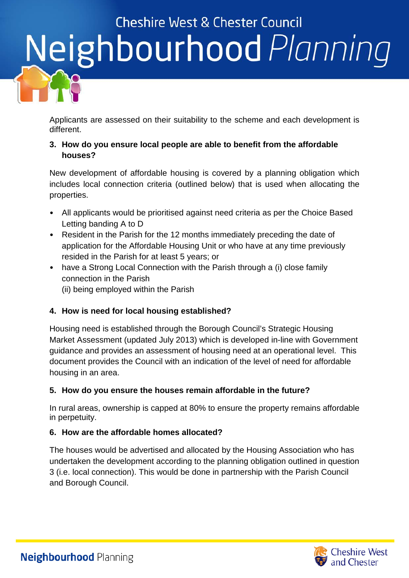## **Cheshire West & Chester Council** Neighbourhood Planning

Applicants are assessed on their suitability to the scheme and each development is different.

#### **3. How do you ensure local people are able to benefit from the affordable houses?**

New development of affordable housing is covered by a planning obligation which includes local connection criteria (outlined below) that is used when allocating the properties.

- All applicants would be prioritised against need criteria as per the Choice Based Letting banding A to D
- Resident in the Parish for the 12 months immediately preceding the date of application for the Affordable Housing Unit or who have at any time previously resided in the Parish for at least 5 years; or
- have a Strong Local Connection with the Parish through a (i) close family connection in the Parish (ii) being employed within the Parish

#### **4. How is need for local housing established?**

Housing need is established through the Borough Council's Strategic Housing Market Assessment (updated July 2013) which is developed in-line with Government guidance and provides an assessment of housing need at an operational level. This document provides the Council with an indication of the level of need for affordable housing in an area.

#### **5. How do you ensure the houses remain affordable in the future?**

In rural areas, ownership is capped at 80% to ensure the property remains affordable in perpetuity.

#### **6. How are the affordable homes allocated?**

The houses would be advertised and allocated by the Housing Association who has undertaken the development according to the planning obligation outlined in question 3 (i.e. local connection). This would be done in partnership with the Parish Council and Borough Council.